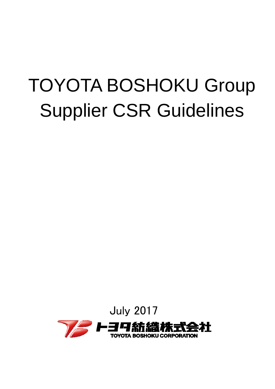# TOYOTA BOSHOKU Group Supplier CSR Guidelines

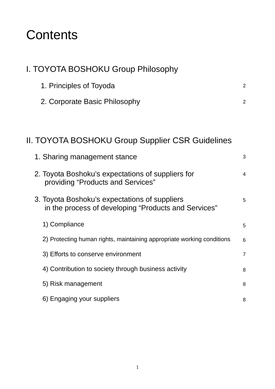# **Contents**

| I. TOYOTA BOSHOKU Group Philosophy                                                                    |                |
|-------------------------------------------------------------------------------------------------------|----------------|
| 1. Principles of Toyoda                                                                               | $\overline{2}$ |
| 2. Corporate Basic Philosophy                                                                         | $\overline{2}$ |
|                                                                                                       |                |
| <b>II. TOYOTA BOSHOKU Group Supplier CSR Guidelines</b>                                               |                |
| 1. Sharing management stance                                                                          | 3              |
| 2. Toyota Boshoku's expectations of suppliers for<br>providing "Products and Services"                | $\overline{4}$ |
| 3. Toyota Boshoku's expectations of suppliers<br>in the process of developing "Products and Services" | 5              |
| 1) Compliance                                                                                         | 5              |
| 2) Protecting human rights, maintaining appropriate working conditions                                | 6              |
| 3) Efforts to conserve environment                                                                    | $\overline{7}$ |
| 4) Contribution to society through business activity                                                  | 8              |
| 5) Risk management                                                                                    | 8              |
| 6) Engaging your suppliers                                                                            | 8              |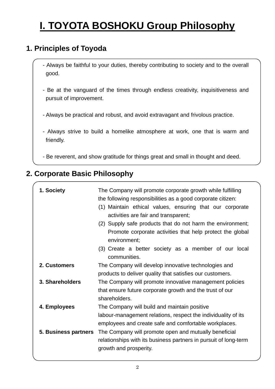# **I. TOYOTA BOSHOKU Group Philosophy**

### **1. Principles of Toyoda**

- Always be faithful to your duties, thereby contributing to society and to the overall good.
- Be at the vanguard of the times through endless creativity, inquisitiveness and pursuit of improvement.
- Always be practical and robust, and avoid extravagant and frivolous practice.
- Always strive to build a homelike atmosphere at work, one that is warm and friendly.
- Be reverent, and show gratitude for things great and small in thought and deed.

### **2. Corporate Basic Philosophy**

| 1. Society           | The Company will promote corporate growth while fulfilling<br>the following responsibilities as a good corporate citizen:<br>(1) Maintain ethical values, ensuring that our corporate<br>activities are fair and transparent;<br>(2) Supply safe products that do not harm the environment;<br>Promote corporate activities that help protect the global<br>environment;<br>(3) Create a better society as a member of our local<br>communities. |
|----------------------|--------------------------------------------------------------------------------------------------------------------------------------------------------------------------------------------------------------------------------------------------------------------------------------------------------------------------------------------------------------------------------------------------------------------------------------------------|
| 2. Customers         | The Company will develop innovative technologies and<br>products to deliver quality that satisfies our customers.                                                                                                                                                                                                                                                                                                                                |
| 3. Shareholders      | The Company will promote innovative management policies<br>that ensure future corporate growth and the trust of our<br>shareholders.                                                                                                                                                                                                                                                                                                             |
| 4. Employees         | The Company will build and maintain positive<br>labour-management relations, respect the individuality of its<br>employees and create safe and comfortable workplaces.                                                                                                                                                                                                                                                                           |
| 5. Business partners | The Company will promote open and mutually beneficial<br>relationships with its business partners in pursuit of long-term<br>growth and prosperity.                                                                                                                                                                                                                                                                                              |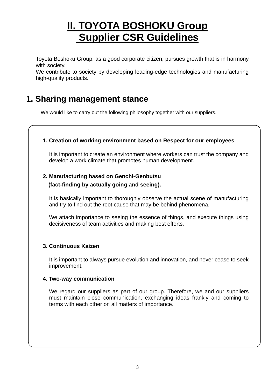## **II. TOYOTA BOSHOKU Group Supplier CSR Guidelines**

Toyota Boshoku Group, as a good corporate citizen, pursues growth that is in harmony with society.

We contribute to society by developing leading-edge technologies and manufacturing high-quality products.

### **1. Sharing management stance**

We would like to carry out the following philosophy together with our suppliers.

### **1. Creation of working environment based on Respect for our employees**

It is important to create an environment where workers can trust the company and develop a work climate that promotes human development.

### **2. Manufacturing based on Genchi-Genbutsu**

### **(fact-finding by actually going and seeing).**

It is basically important to thoroughly observe the actual scene of manufacturing and try to find out the root cause that may be behind phenomena.

We attach importance to seeing the essence of things, and execute things using decisiveness of team activities and making best efforts.

### **3. Continuous Kaizen**

It is important to always pursue evolution and innovation, and never cease to seek improvement.

### **4. Two-way communication**

We regard our suppliers as part of our group. Therefore, we and our suppliers must maintain close communication, exchanging ideas frankly and coming to terms with each other on all matters of importance.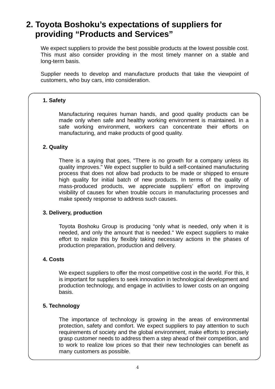### **2. Toyota Boshoku's expectations of suppliers for providing "Products and Services"**

We expect suppliers to provide the best possible products at the lowest possible cost. This must also consider providing in the most timely manner on a stable and long-term basis.

Supplier needs to develop and manufacture products that take the viewpoint of customers, who buy cars, into consideration.

#### **1. Safety**

Manufacturing requires human hands, and good quality products can be made only when safe and healthy working environment is maintained. In a safe working environment, workers can concentrate their efforts on manufacturing, and make products of good quality.

### **2. Quality**

There is a saying that goes, "There is no growth for a company unless its quality improves." We expect supplier to build a self-contained manufacturing process that does not allow bad products to be made or shipped to ensure high quality for initial batch of new products. In terms of the quality of mass-produced products, we appreciate suppliers' effort on improving visibility of causes for when trouble occurs in manufacturing processes and make speedy response to address such causes.

#### **3. Delivery, production**

Toyota Boshoku Group is producing "only what is needed, only when it is needed, and only the amount that is needed." We expect suppliers to make effort to realize this by flexibly taking necessary actions in the phases of production preparation, production and delivery.

### **4. Costs**

We expect suppliers to offer the most competitive cost in the world. For this, it is important for suppliers to seek innovation in technological development and production technology, and engage in activities to lower costs on an ongoing basis.

### **5. Technology**

The importance of technology is growing in the areas of environmental protection, safety and comfort. We expect suppliers to pay attention to such requirements of society and the global environment, make efforts to precisely grasp customer needs to address them a step ahead of their competition, and to work to realize low prices so that their new technologies can benefit as many customers as possible.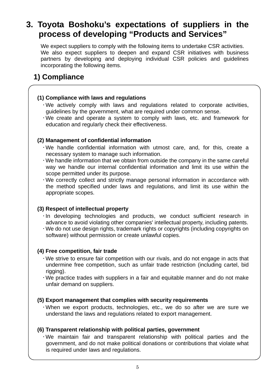### **3. Toyota Boshoku's expectations of suppliers in the process of developing "Products and Services"**

We expect suppliers to comply with the following items to undertake CSR activities. We also expect suppliers to deepen and expand CSR initiatives with business partners by developing and deploying individual CSR policies and guidelines incorporating the following items.

### **1) Compliance**

### **(1) Compliance with laws and regulations**

- We actively comply with laws and regulations related to corporate activities, guidelines by the government, what are required under common sense.
- We create and operate a system to comply with laws, etc. and framework for education and regularly check their effectiveness.

### **(2) Management of confidential information**

- We handle confidential information with utmost care, and, for this, create a necessary system to manage such information.
- We handle information that we obtain from outside the company in the same careful way we handle our internal confidential information and limit its use within the scope permitted under its purpose.
- We correctly collect and strictly manage personal information in accordance with the method specified under laws and regulations, and limit its use within the appropriate scopes.

### **(3) Respect of intellectual property**

- In developing technologies and products, we conduct sufficient research in advance to avoid violating other companies' intellectual property, including patents.
- We do not use design rights, trademark rights or copyrights (including copyrights on software) without permission or create unlawful copies.

### **(4) Free competition, fair trade**

- We strive to ensure fair competition with our rivals, and do not engage in acts that undermine free competition, such as unfair trade restriction (including cartel, bid rigging).
- We practice trades with suppliers in a fair and equitable manner and do not make unfair demand on suppliers.

### **(5) Export management that complies with security requirements**

 When we export products, technologies, etc., we do so after we are sure we understand the laws and regulations related to export management.

### **(6) Transparent relationship with political parties, government**

 We maintain fair and transparent relationship with political parties and the government, and do not make political donations or contributions that violate what is required under laws and regulations.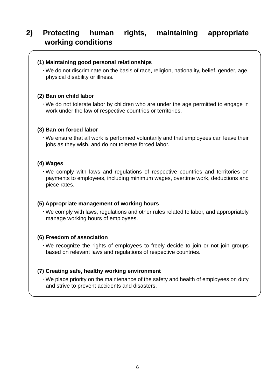### **2) Protecting human rights, maintaining appropriate working conditions**

### **(1) Maintaining good personal relationships**

 We do not discriminate on the basis of race, religion, nationality, belief, gender, age, physical disability or illness.

#### **(2) Ban on child labor**

 We do not tolerate labor by children who are under the age permitted to engage in work under the law of respective countries or territories.

#### **(3) Ban on forced labor**

 We ensure that all work is performed voluntarily and that employees can leave their jobs as they wish, and do not tolerate forced labor.

### **(4) Wages**

 We comply with laws and regulations of respective countries and territories on payments to employees, including minimum wages, overtime work, deductions and piece rates.

#### **(5) Appropriate management of working hours**

 We comply with laws, regulations and other rules related to labor, and appropriately manage working hours of employees.

#### **(6) Freedom of association**

 We recognize the rights of employees to freely decide to join or not join groups based on relevant laws and regulations of respective countries.

### **(7) Creating safe, healthy working environment**

 We place priority on the maintenance of the safety and health of employees on duty and strive to prevent accidents and disasters.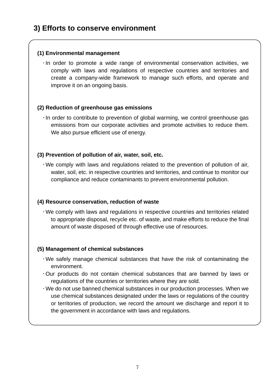### **3) Efforts to conserve environment**

### **(1) Environmental management**

 $\cdot$  In order to promote a wide range of environmental conservation activities, we comply with laws and regulations of respective countries and territories and create a company-wide framework to manage such efforts, and operate and improve it on an ongoing basis.

### **(2) Reduction of greenhouse gas emissions**

 $\cdot$  In order to contribute to prevention of global warming, we control greenhouse gas emissions from our corporate activities and promote activities to reduce them. We also pursue efficient use of energy.

### **(3) Prevention of pollution of air, water, soil, etc.**

 We comply with laws and regulations related to the prevention of pollution of air, water, soil, etc. in respective countries and territories, and continue to monitor our compliance and reduce contaminants to prevent environmental pollution.

### **(4) Resource conservation, reduction of waste**

 We comply with laws and regulations in respective countries and territories related to appropriate disposal, recycle etc. of waste, and make efforts to reduce the final amount of waste disposed of through effective use of resources.

### **(5) Management of chemical substances**

- We safely manage chemical substances that have the risk of contaminating the environment.
- Our products do not contain chemical substances that are banned by laws or regulations of the countries or territories where they are sold.
- We do not use banned chemical substances in our production processes. When we use chemical substances designated under the laws or regulations of the country or territories of production, we record the amount we discharge and report it to the government in accordance with laws and regulations.